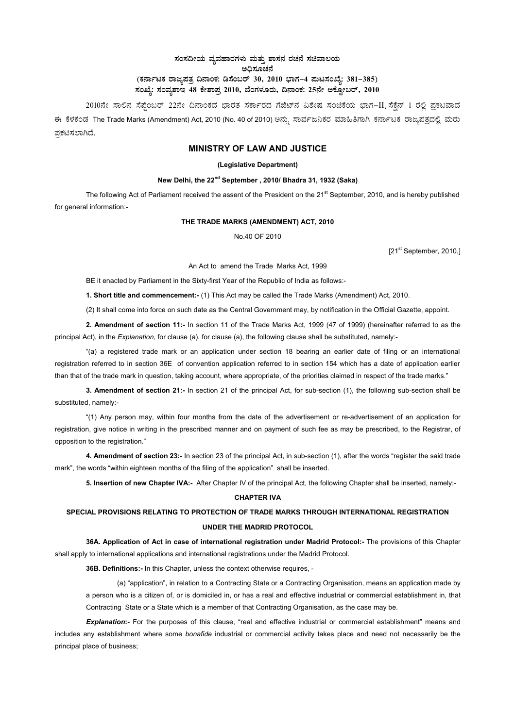## ಸಂಸದೀಯ ವ್ಯವಹಾರಗಳು ಮತ್ತು ಶಾಸನ ರಚನೆ ಸಚಿವಾಲಯ ಅಧಿಸೂಚನೆ (ಕರ್ನಾಟಕ ರಾಜ್ಯಪತ್ರ ದಿನಾಂಕ: ಡಿಸೆಂಬರ್ 30, 2010 ಭಾಗ–4 **ಮಟಸಂಖ್ಯೆ: 381–385**) ಸಂಖ್ಯೆ: ಸಂವ್ಯಶಾಇ 48 ಕೇಶಾಪ್ರ 2010, ಬೆಂಗಳೂರು, ದಿನಾಂಕ: 25ನೇ ಅಕ್ಟೋಬರ್, 2010 <sub>-</sub>

2010ನೇ ಸಾಲಿನ ಸೆಪ್ಪೆಂಬರ್ 22ನೇ ದಿನಾಂಕದ ಭಾರತ ಸರ್ಕಾರದ ಗೆಜೆಟ್ನ ವಿಶೇಷ ಸಂಚಿಕೆಯ ಭಾಗ–II ಸೆಕ್ಷೆನ್ 1 ರಲ್ಲಿ ಪ್ರಕಟವಾದ ಈ ಕೆಳಕಂಡ The Trade Marks (Amendment) Act, 2010 (No. 40 of 2010) ಅನ್ನು ಸಾರ್ವಜನಿಕರ ಮಾಹಿತಿಗಾಗಿ ಕರ್ನಾಟಕ ರಾಜ್ಯಪತ್ರದಲ್ಲಿ ಮರು ಪಕಟಿಸಲಾಗಿದೆ.

## **MINISTRY OF LAW AND JUSTICE**

#### **(Legislative Department)**

### **New Delhi, the 22nd September , 2010/ Bhadra 31, 1932 (Saka)**

The following Act of Parliament received the assent of the President on the  $21^{st}$  September, 2010, and is hereby published for general information:-

#### **THE TRADE MARKS (AMENDMENT) ACT, 2010**

No.40 OF 2010

[21<sup>st</sup> September, 2010,]

An Act to amend the Trade Marks Act, 1999

BE it enacted by Parliament in the Sixty-first Year of the Republic of India as follows:-

**1. Short title and commencement:-** (1) This Act may be called the Trade Marks (Amendment) Act, 2010.

(2) It shall come into force on such date as the Central Government may, by notification in the Official Gazette, appoint.

**2. Amendment of section 11:-** In section 11 of the Trade Marks Act, 1999 (47 of 1999) (hereinafter referred to as the principal Act), in the *Explanation,* for clause (a), for clause (a), the following clause shall be substituted, namely:-

"(a) a registered trade mark or an application under section 18 bearing an earlier date of filing or an international registration referred to in section 36E of convention application referred to in section 154 which has a date of application earlier than that of the trade mark in question, taking account, where appropriate, of the priorities claimed in respect of the trade marks."

**3. Amendment of section 21:-** In section 21 of the principal Act, for sub-section (1), the following sub-section shall be substituted, namely:-

"(1) Any person may, within four months from the date of the advertisement or re-advertisement of an application for registration, give notice in writing in the prescribed manner and on payment of such fee as may be prescribed, to the Registrar, of opposition to the registration."

**4. Amendment of section 23:-** In section 23 of the principal Act, in sub-section (1), after the words "register the said trade mark", the words "within eighteen months of the filing of the application" shall be inserted.

**5. Insertion of new Chapter IVA:-** After Chapter IV of the principal Act, the following Chapter shall be inserted, namely:-

#### **CHAPTER IVA**

# **SPECIAL PROVISIONS RELATING TO PROTECTION OF TRADE MARKS THROUGH INTERNATIONAL REGISTRATION UNDER THE MADRID PROTOCOL**

**36A. Application of Act in case of international registration under Madrid Protocol:-** The provisions of this Chapter shall apply to international applications and international registrations under the Madrid Protocol.

**36B. Definitions:-** In this Chapter, unless the context otherwise requires, -

(a) "application", in relation to a Contracting State or a Contracting Organisation, means an application made by a person who is a citizen of, or is domiciled in, or has a real and effective industrial or commercial establishment in, that Contracting State or a State which is a member of that Contracting Organisation, as the case may be.

*Explanation***:-** For the purposes of this clause, "real and effective industrial or commercial establishment" means and includes any establishment where some *bonafide* industrial or commercial activity takes place and need not necessarily be the principal place of business;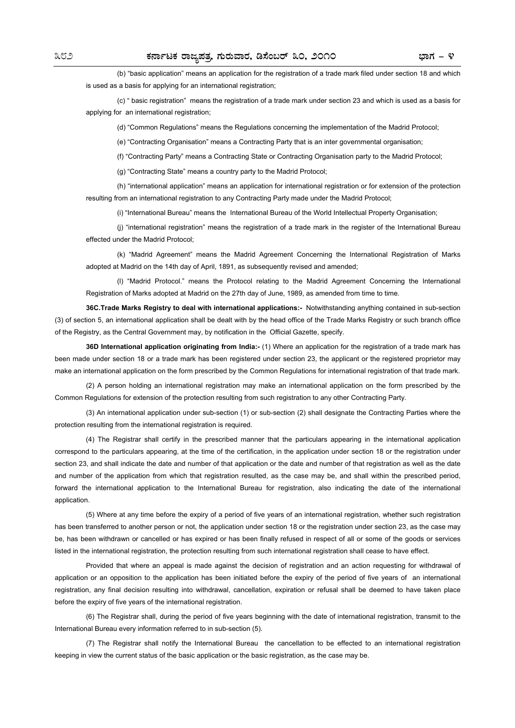(b) "basic application" means an application for the registration of a trade mark filed under section 18 and which is used as a basis for applying for an international registration;

(c) " basic registration" means the registration of a trade mark under section 23 and which is used as a basis for applying for an international registration:

(d) "Common Regulations" means the Regulations concerning the implementation of the Madrid Protocol;

(e) "Contracting Organisation" means a Contracting Party that is an inter governmental organisation;

(f) "Contracting Party" means a Contracting State or Contracting Organisation party to the Madrid Protocol;

(g) "Contracting State" means a country party to the Madrid Protocol;

(h) "international application" means an application for international registration or for extension of the protection resulting from an international registration to any Contracting Party made under the Madrid Protocol;

(i) "International Bureau" means the International Bureau of the World Intellectual Property Organisation;

(j) "international registration" means the registration of a trade mark in the register of the International Bureau effected under the Madrid Protocol;

(k) "Madrid Agreement" means the Madrid Agreement Concerning the International Registration of Marks adopted at Madrid on the 14th day of April, 1891, as subsequently revised and amended;

(l) "Madrid Protocol." means the Protocol relating to the Madrid Agreement Concerning the International Registration of Marks adopted at Madrid on the 27th day of June, 1989, as amended from time to time.

**36C.Trade Marks Registry to deal with international applications:-** Notwithstanding anything contained in sub-section (3) of section 5, an international application shall be dealt with by the head office of the Trade Marks Registry or such branch office of the Registry, as the Central Government may, by notification in the Official Gazette, specify.

**36D International application originating from India:-** (1) Where an application for the registration of a trade mark has been made under section 18 or a trade mark has been registered under section 23, the applicant or the registered proprietor may make an international application on the form prescribed by the Common Regulations for international registration of that trade mark.

(2) A person holding an international registration may make an international application on the form prescribed by the Common Regulations for extension of the protection resulting from such registration to any other Contracting Party.

(3) An international application under sub-section (1) or sub-section (2) shall designate the Contracting Parties where the protection resulting from the international registration is required.

(4) The Registrar shall certify in the prescribed manner that the particulars appearing in the international application correspond to the particulars appearing, at the time of the certification, in the application under section 18 or the registration under section 23, and shall indicate the date and number of that application or the date and number of that registration as well as the date and number of the application from which that registration resulted, as the case may be, and shall within the prescribed period, forward the international application to the International Bureau for registration, also indicating the date of the international application.

(5) Where at any time before the expiry of a period of five years of an international registration, whether such registration has been transferred to another person or not, the application under section 18 or the registration under section 23, as the case may be, has been withdrawn or cancelled or has expired or has been finally refused in respect of all or some of the goods or services listed in the international registration, the protection resulting from such international registration shall cease to have effect.

Provided that where an appeal is made against the decision of registration and an action requesting for withdrawal of application or an opposition to the application has been initiated before the expiry of the period of five years of an international registration, any final decision resulting into withdrawal, cancellation, expiration or refusal shall be deemed to have taken place before the expiry of five years of the international registration.

(6) The Registrar shall, during the period of five years beginning with the date of international registration, transmit to the International Bureau every information referred to in sub-section (5).

(7) The Registrar shall notify the International Bureau the cancellation to be effected to an international registration keeping in view the current status of the basic application or the basic registration, as the case may be.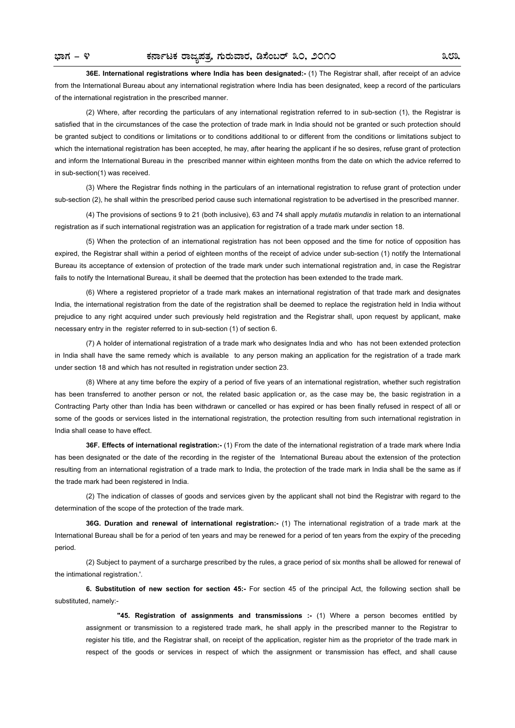**36E. International registrations where India has been designated:-** (1) The Registrar shall, after receipt of an advice from the International Bureau about any international registration where India has been designated, keep a record of the particulars of the international registration in the prescribed manner.

(2) Where, after recording the particulars of any international registration referred to in sub-section (1), the Registrar is satisfied that in the circumstances of the case the protection of trade mark in India should not be granted or such protection should be granted subject to conditions or limitations or to conditions additional to or different from the conditions or limitations subject to which the international registration has been accepted, he may, after hearing the applicant if he so desires, refuse grant of protection and inform the International Bureau in the prescribed manner within eighteen months from the date on which the advice referred to in sub-section(1) was received.

(3) Where the Registrar finds nothing in the particulars of an international registration to refuse grant of protection under sub-section (2), he shall within the prescribed period cause such international registration to be advertised in the prescribed manner.

(4) The provisions of sections 9 to 21 (both inclusive), 63 and 74 shall apply *mutatis mutandis* in relation to an international registration as if such international registration was an application for registration of a trade mark under section 18.

(5) When the protection of an international registration has not been opposed and the time for notice of opposition has expired, the Registrar shall within a period of eighteen months of the receipt of advice under sub-section (1) notify the International Bureau its acceptance of extension of protection of the trade mark under such international registration and, in case the Registrar fails to notify the International Bureau, it shall be deemed that the protection has been extended to the trade mark.

(6) Where a registered proprietor of a trade mark makes an international registration of that trade mark and designates India, the international registration from the date of the registration shall be deemed to replace the registration held in India without prejudice to any right acquired under such previously held registration and the Registrar shall, upon request by applicant, make necessary entry in the register referred to in sub-section (1) of section 6.

(7) A holder of international registration of a trade mark who designates India and who has not been extended protection in India shall have the same remedy which is available to any person making an application for the registration of a trade mark under section 18 and which has not resulted in registration under section 23.

(8) Where at any time before the expiry of a period of five years of an international registration, whether such registration has been transferred to another person or not, the related basic application or, as the case may be, the basic registration in a Contracting Party other than India has been withdrawn or cancelled or has expired or has been finally refused in respect of all or some of the goods or services listed in the international registration, the protection resulting from such international registration in India shall cease to have effect.

**36F. Effects of international registration:-** (1) From the date of the international registration of a trade mark where India has been designated or the date of the recording in the register of the International Bureau about the extension of the protection resulting from an international registration of a trade mark to India, the protection of the trade mark in India shall be the same as if the trade mark had been registered in India.

(2) The indication of classes of goods and services given by the applicant shall not bind the Registrar with regard to the determination of the scope of the protection of the trade mark.

**36G. Duration and renewal of international registration:-** (1) The international registration of a trade mark at the International Bureau shall be for a period of ten years and may be renewed for a period of ten years from the expiry of the preceding period.

(2) Subject to payment of a surcharge prescribed by the rules, a grace period of six months shall be allowed for renewal of the intimational registration.'.

**6. Substitution of new section for section 45:-** For section 45 of the principal Act, the following section shall be substituted, namely:-

**"45. Registration of assignments and transmissions :- (1) Where a person becomes entitled by** assignment or transmission to a registered trade mark, he shall apply in the prescribed manner to the Registrar to register his title, and the Registrar shall, on receipt of the application, register him as the proprietor of the trade mark in respect of the goods or services in respect of which the assignment or transmission has effect, and shall cause